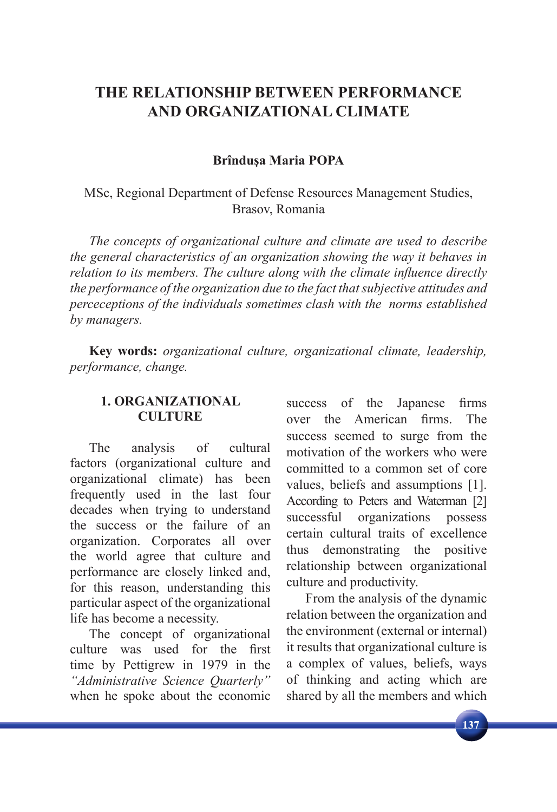# **THE RELATIONSHIP BETWEEN PERFORMANCE AND ORGANIZATIONAL CLIMATE**

### **Brînduşa Maria POPA**

MSc, Regional Department of Defense Resources Management Studies, Brasov, Romania

*The concepts of organizational culture and climate are used to describe the general characteristics of an organization showing the way it behaves in relation to its members. The culture along with the climate influence directly the performance of the organization due to the fact that subjective attitudes and perceceptions of the individuals sometimes clash with the norms established by managers.* 

**Key words:** *organizational culture, organizational climate, leadership, performance, change.*

### **1. ORGANIZATIONAL CULTURE**

The analysis of cultural factors (organizational culture and organizational climate) has been frequently used in the last four decades when trying to understand the success or the failure of an organization. Corporates all over the world agree that culture and performance are closely linked and, for this reason, understanding this particular aspect of the organizational life has become a necessity.

The concept of organizational culture was used for the first time by Pettigrew in 1979 in the *"Administrative Science Quarterly"* when he spoke about the economic success of the Japanese firms over the American firms. The success seemed to surge from the motivation of the workers who were committed to a common set of core values, beliefs and assumptions [1]. According to Peters and Waterman [2] successful organizations possess certain cultural traits of excellence thus demonstrating the positive relationship between organizational culture and productivity.

From the analysis of the dynamic relation between the organization and the environment (external or internal) it results that organizational culture is a complex of values, beliefs, ways of thinking and acting which are shared by all the members and which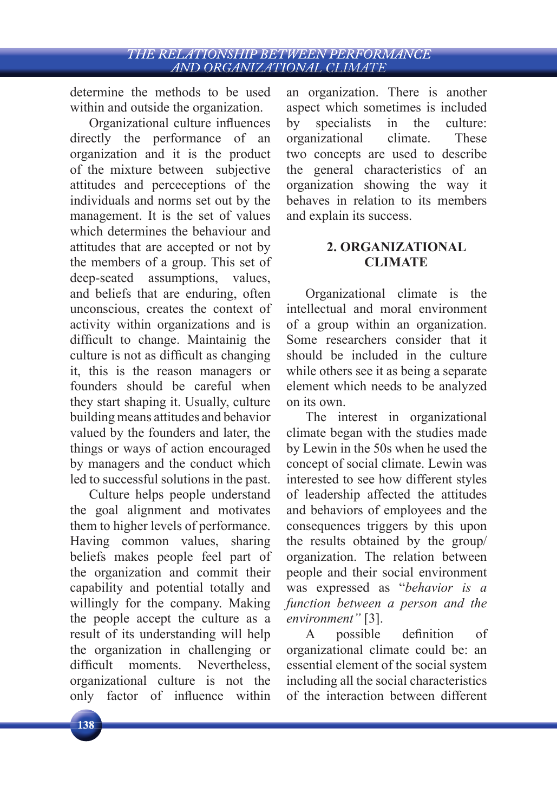determine the methods to be used within and outside the organization.

Organizational culture influences directly the performance of an organization and it is the product of the mixture between subjective attitudes and perceceptions of the individuals and norms set out by the management. It is the set of values which determines the behaviour and attitudes that are accepted or not by the members of a group. This set of deep-seated assumptions, values, and beliefs that are enduring, often unconscious, creates the context of activity within organizations and is difficult to change. Maintainig the culture is not as difficult as changing it, this is the reason managers or founders should be careful when they start shaping it. Usually, culture building means attitudes and behavior valued by the founders and later, the things or ways of action encouraged by managers and the conduct which led to successful solutions in the past.

Culture helps people understand the goal alignment and motivates them to higher levels of performance. Having common values, sharing beliefs makes people feel part of the organization and commit their capability and potential totally and willingly for the company. Making the people accept the culture as a result of its understanding will help the organization in challenging or difficult moments. Nevertheless, organizational culture is not the only factor of influence within

an organization. There is another aspect which sometimes is included by specialists in the culture: organizational climate. These two concepts are used to describe the general characteristics of an organization showing the way it behaves in relation to its members and explain its success.

# **2. ORGANIZATIONAL CLIMATE**

Organizational climate is the intellectual and moral environment of a group within an organization. Some researchers consider that it should be included in the culture while others see it as being a separate element which needs to be analyzed on its own.

The interest in organizational climate began with the studies made by Lewin in the 50s when he used the concept of social climate. Lewin was interested to see how different styles of leadership affected the attitudes and behaviors of employees and the consequences triggers by this upon the results obtained by the group/ organization. The relation between people and their social environment was expressed as "*behavior is a function between a person and the environment"* [3].

A possible definition of organizational climate could be: an essential element of the social system including all the social characteristics of the interaction between different

138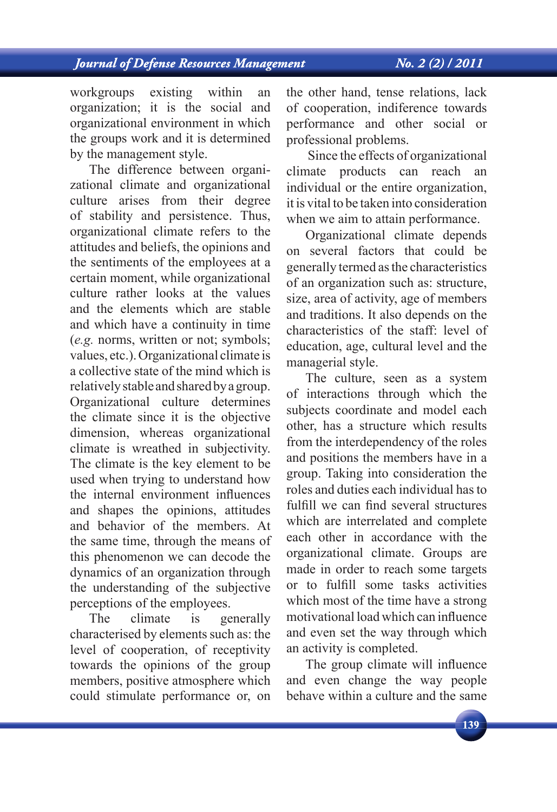# **Journal of Defense Resources Management**

workgroups existing within an organization; it is the social and organizational environment in which the groups work and it is determined by the management style.

The difference between organizational climate and organizational culture arises from their degree of stability and persistence. Thus, organizational climate refers to the attitudes and beliefs, the opinions and the sentiments of the employees at a certain moment, while organizational culture rather looks at the values and the elements which are stable and which have a continuity in time (*e.g.* norms, written or not; symbols; values, etc.). Organizational climate is a collective state of the mind which is relatively stable and shared by a group. Organizational culture determines the climate since it is the objective dimension, whereas organizational climate is wreathed in subjectivity. The climate is the key element to be used when trying to understand how the internal environment influences and shapes the opinions, attitudes and behavior of the members. At the same time, through the means of this phenomenon we can decode the dynamics of an organization through the understanding of the subjective perceptions of the employees.

The climate is generally characterised by elements such as: the level of cooperation, of receptivity towards the opinions of the group members, positive atmosphere which could stimulate performance or, on the other hand, tense relations, lack of cooperation, indiference towards performance and other social or professional problems.

 Since the effects of organizational climate products can reach an individual or the entire organization, it is vital to be taken into consideration when we aim to attain performance.

Organizational climate depends on several factors that could be generally termed as the characteristics of an organization such as: structure, size, area of activity, age of members and traditions. It also depends on the characteristics of the staff: level of education, age, cultural level and the managerial style.

The culture, seen as a system of interactions through which the subjects coordinate and model each other, has a structure which results from the interdependency of the roles and positions the members have in a group. Taking into consideration the roles and duties each individual has to fulfill we can find several structures which are interrelated and complete each other in accordance with the organizational climate. Groups are made in order to reach some targets or to fulfill some tasks activities which most of the time have a strong motivational load which can influence and even set the way through which an activity is completed.

The group climate will influence and even change the way people behave within a culture and the same

139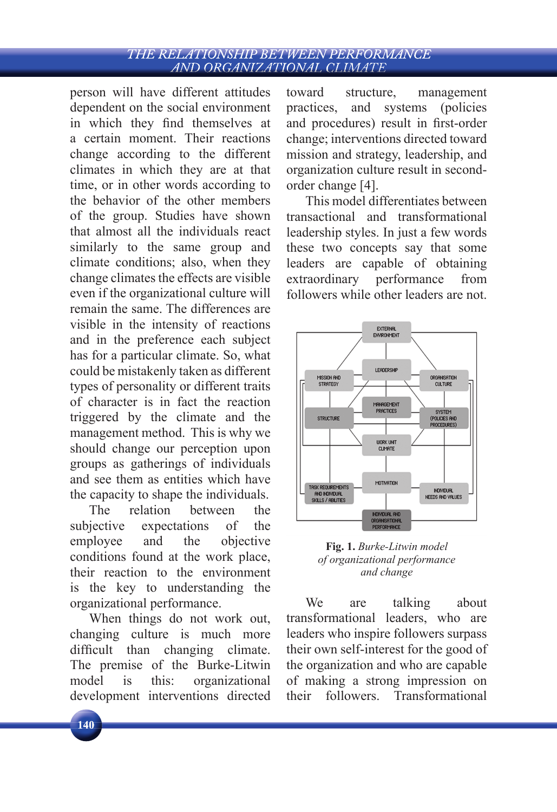#### THE RELATIONSHIP BETWEEN PERFORMANCE AND ORGANIZATIONAL CLIMATE

person will have different attitudes dependent on the social environment in which they find themselves at a certain moment. Their reactions change according to the different climates in which they are at that time, or in other words according to the behavior of the other members of the group. Studies have shown that almost all the individuals react similarly to the same group and climate conditions; also, when they change climates the effects are visible even if the organizational culture will remain the same. The differences are visible in the intensity of reactions and in the preference each subject has for a particular climate. So, what could be mistakenly taken as different types of personality or different traits of character is in fact the reaction triggered by the climate and the management method. This is why we should change our perception upon groups as gatherings of individuals and see them as entities which have the capacity to shape the individuals.

The relation between the subjective expectations of the employee and the objective conditions found at the work place, their reaction to the environment is the key to understanding the organizational performance.

When things do not work out, changing culture is much more difficult than changing climate. The premise of the Burke-Litwin model is this: organizational development interventions directed toward structure, management practices, and systems (policies and procedures) result in first-order change; interventions directed toward mission and strategy, leadership, and organization culture result in secondorder change [4].

This model differentiates between transactional and transformational leadership styles. In just a few words these two concepts say that some leaders are capable of obtaining extraordinary performance from followers while other leaders are not.



**Fig. 1.** *Burke-Litwin model of organizational performance and change*

We are talking about transformational leaders, who are leaders who inspire followers surpass their own self-interest for the good of the organization and who are capable of making a strong impression on their followers. Transformational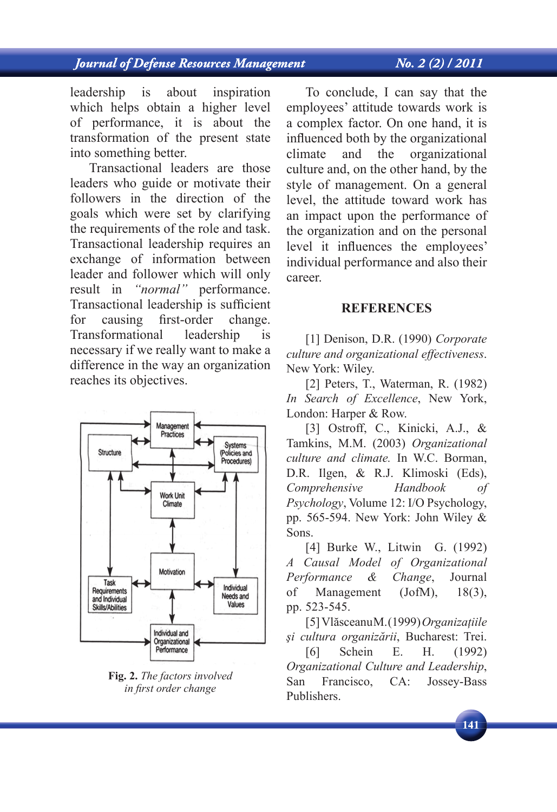# **Journal of Defense Resources Management**

### $N_0$ ,  $2(2)/2011$

leadership is about inspiration which helps obtain a higher level of performance, it is about the transformation of the present state into something better.

Transactional leaders are those leaders who guide or motivate their followers in the direction of the goals which were set by clarifying the requirements of the role and task. Transactional leadership requires an exchange of information between leader and follower which will only result in *"normal"* performance. Transactional leadership is sufficient for causing first-order change. Transformational leadership is necessary if we really want to make a difference in the way an organization reaches its objectives.



**Fig. 2.** *The factors involved in fi rst order change*

To conclude, I can say that the employees' attitude towards work is a complex factor. On one hand, it is influenced both by the organizational climate and the organizational culture and, on the other hand, by the style of management. On a general level, the attitude toward work has an impact upon the performance of the organization and on the personal level it influences the employees' individual performance and also their career.

#### **REFERENCES**

[1] Denison, D.R. (1990) *Corporate culture and organizational effectiveness*. New York: Wiley.

[2] Peters, T., Waterman, R. (1982) *In Search of Excellence*, New York, London: Harper & Row.

[3] Ostroff, C., Kinicki, A.J., & Tamkins, M.M. (2003) *Organizational culture and climate.* In W.C. Borman, D.R. Ilgen, & R.J. Klimoski (Eds), *Comprehensive Handbook of Psychology*, Volume 12: I/O Psychology, pp. 565-594. New York: John Wiley & Sons.

[4] Burke W., Litwin G. (1992) *A Causal Model of Organizational Performance & Change*, Journal of Management (JofM), 18(3), pp. 523-545.

[5] Vlăsceanu M. (1999) *Organizaţiile şi cultura organizării*, Bucharest: Trei. [6] Schein E. H. (1992) *Organizational Culture and Leadership*, San Francisco, CA: Jossey-Bass Publishers.